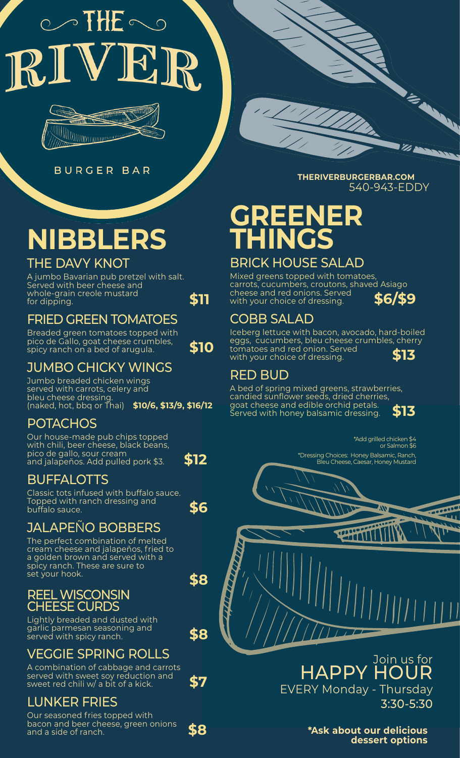# $\circlearrowright$  THE  $\circlearrowright$



**BURGER** BAR

# **NIBBLERS**

#### THE DAVY KNOT

A jumbo Bavarian pub pretzel with salt. Served with beer cheese and whole-grain creole mustard for dipping. **\$11**

#### FRIED GREEN TOMATOES

Breaded green tomatoes topped with pico de Gallo, goat cheese crumbles, spicy ranch on a bed of arugula. **\$10** 

#### JUMBO CHICKY WINGS

Jumbo breaded chicken wings served with carrots, celery and bleu cheese dressing. (naked, hot, bbq or Thai) **\$10/6, \$13/9, \$16/12**

#### **POTACHOS**

Our house-made pub chips topped with chili, beer cheese, black beans, pico de gallo, sour cream and jalapeños. Add pulled pork \$3. **\$12**

**\$8**

## BUFFALOTTS

Classic tots infused with buffalo sauce. Topped with ranch dressing and buffalo sauce. **\$6** 

#### **JALAPENO BOBBERS**

The perfect combination of melted cream cheese and jalapeños, fried to a golden brown and served with a spicy ranch. These are sure to set your hook.

#### REEL WISCONSIN HEESE CURDS

Lightly breaded and dusted with garlic parmesan seasoning and served with spicy ranch. **\$8**

#### VEGGIE SPRING ROLLS

A combination of cabbage and carrots served with sweet soy reduction and sweet red chili w/ a bit of a kick. **\$7**

## LUNKER FRIES

Our seasoned fries topped with bacon and beer cheese, green onions and a side of ranch. **\$8**



**THERIVERBURGERBAR.COM** 540-943-EDDY

## **GREENER THINGS**

#### BRICK HOUSE SALAD

Mixed greens topped with tomatoes, carrots, cucumbers, croutons, shaved Asiago cheese and red onions. Served with your choice of dressing. **\$6/\$9**

#### COBB SALAD

Iceberg lettuce with bacon, avocado, hard-boiled eggs, cucumbers, bleu cheese crumbles, cherry tomatoes and red onion. Served with your choice of dressing. **\$13**

#### RED BUD

A bed of spring mixed greens, strawberries, candied sunflower seeds, dried cherries, goat cheese and edible orchid petals. Served with honey balsamic dressing. **\$13**



\*Add grilled chicken \$4 or Salmon \$6 \*Dressing Choices: Honey Balsamic, Ranch, Bleu Cheese, Caesar, Honey Mustard

**THE REAL** 

Join us for HAPPY HOUR EVERY Monday - Thursday 3:30-5:30

> **\*Ask about our delicious dessert options**